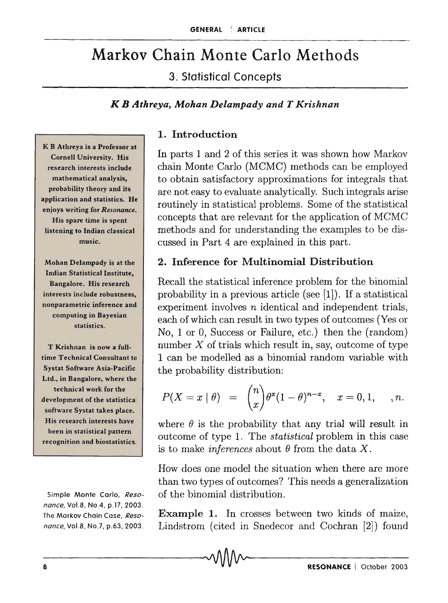# Markov Chain Monte Carlo Methods

3. Statistical Concepts

*K B Athreya, Mohan Delampady and T Krishnan* 

K B Athreya is a Professor at Cornell University. His research interests include mathematical analysis, probability theory and its application and statistics. He enjoys writing for *Resonance.*  His spare time is spent listening to Indian classical music.

Mohan Delampady is at the Indian Statistical Institute, Bangalore. His research interests include robustness, nonparametric inference and computing in Bayesian statistics.

T Krishnan is now a fulltime Technical Consultant to Systat Software Asia-Pacific Ltd., in Bangalore, where the technical work for the development of the statistica' software Systat takes place. His research interests have been in statistical pattern recognition and biostatistics,

Simple Monte Carlo, Reso*nance*, Vol.8, No.4, p.17, 2003. The Markov Chain Case, Reso*nance,* Vol.8, No.7, p.63, 2003 .

## 1. Introduction

In parts 1 and 2 of this series it was shown how Markov chain Monte Carlo (MCMC) methods can be employed to obtain satisfactory approximations for integrals that are not easy to evaluate analytically. Such integrals arise routinely in statistical problems. Some of the statistical concepts that are relevant for the application of MCMC methods and for understanding the examples to be discussed in Part 4 are explained in this part.

# 2. Inference for Multinomial Distribution

Recall the statistical inference problem for the binomial probability in a previous article (see [1]). If a statistical experiment involves *n* identical and independent trials, each of which can result in two types of outcomes (Yes or No, 1 or 0, Success or Failure, etc.) then the (random) number  $X$  of trials which result in, say, outcome of type 1 can be modelled as a binomial random variable with the probability distribution:

$$
P(X = x | \theta) = {n \choose x} \theta^x (1 - \theta)^{n - x}, \quad x = 0, 1, \dots, n.
$$

where  $\theta$  is the probability that any trial will result in outcome of type 1. The *statistical* problem in this case is to make *inferences* about  $\theta$  from the data X.

How does one model the situation when there are more than two types of outcomes? This needs a generalization of the binomial distribution.

Example 1. In crosses between two kinds of maize, *nance*, vol.8, No.7, p.63, 2003. Lindstrom (cited in Snedecor and Cochran [2]) found  $\bigwedge_{\text{max}}$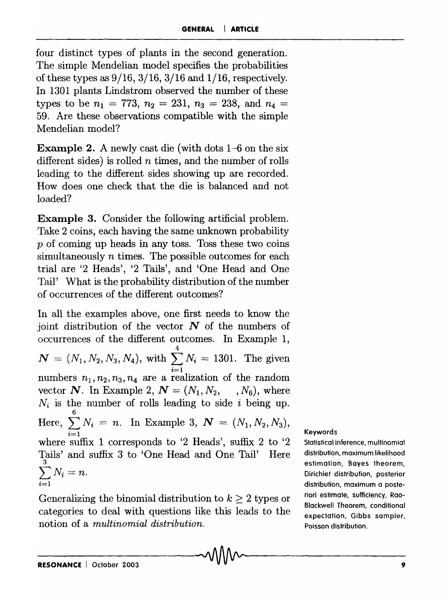four distinct types of plants in the second generation. The simple Mendelian model specifies the probabilities of these types as  $9/16$ ,  $3/16$ ,  $3/16$  and  $1/16$ , respectively. In 1301 plants Lindstrom observed the number of these types to be  $n_1 = 773$ ,  $n_2 = 231$ ,  $n_3 = 238$ , and  $n_4 =$ 59. Are these observations compatible with the simple Mendelian model?

Example 2. A newly cast die (with dots 1-6 on the six different sides) is rolled *n* times, and the number of rolls leading to the different sides showing up are recorded. How does one check that the die is balanced and not loaded?

Example 3. Consider the following artificial problem. Take 2 coins, each having the same unknown probability *p* of coming up heads in any toss. Toss these two coins simultaneously *n* times. The possible outcomes for each trial are '2 Heads', '2 Tails', and 'One Head and One Tail' What is the probability distribution of the number of occurrences of the different outcomes?

In all the examples above, one first needs to know the joint distribution of the vector  $N$  of the numbers of occurrences of the different outcomes. In Example 1,  $N = (N_1, N_2, N_3, N_4)$ , with  $\sum_{i=1}^{4} N_i = 1301$ . The given  $\overline{i=1}$ numbers  $n_1, n_2, n_3, n_4$  are a realization of the random vector N. In Example 2,  $N = (N_1, N_2, N_6)$ , where  $N_i$  is the number of rolls leading to side i being up. Here,  $\sum_{i=1}^{6} N_i = n$ . In Example 3,  $N = (N_1, N_2, N_3)$ ,  $\sum_{i=1}$ where suffix 1 corresponds to '2 Heads', suffix 2 to '2 Tails' and suffix 3 to 'One Head and One Tail' Here  $\sum^3 N_i = n.$  $\sum_{i=1}$ 

Generalizing the binomial distribution to  $k \geq 2$  types or categories to deal with questions like this leads to the notion of a *multinomial distribution.* 

Keywords

Statistical inference, multinomial distribution, maximum likelihood estimation. Bayes theorem. Dirichlet distribution, posterior distribution. maximum a posteriori estimate, sufficiency, Rao-Blackwell Theorem, conditional expectation, Gibbs sampler. Poisson distribution.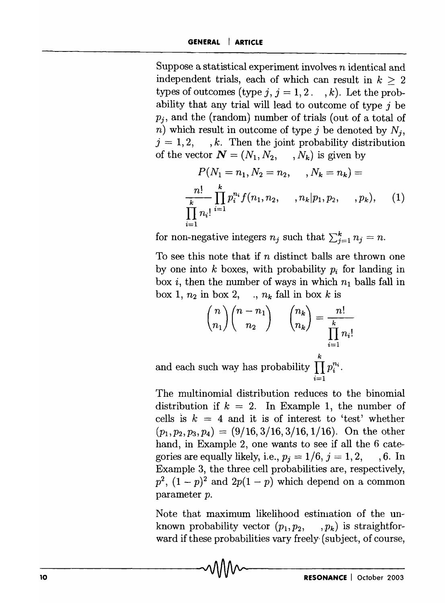Suppose a statistical experiment involves *n* identical and independent trials, each of which can result in  $k > 2$ types of outcomes (type j,  $j = 1, 2, ..., k$ ). Let the probability that any trial will lead to outcome of type  $j$  be  $p_i$ , and the (random) number of trials (out of a total of *n*) which result in outcome of type *j* be denoted by  $N_i$ ,  $j = 1, 2, \dots, k$ . Then the joint probability distribution of the vector  $\mathbf{N} = (N_1, N_2, ..., N_k)$  is given by

$$
P(N_1 = n_1, N_2 = n_2, \dots, N_k = n_k) =
$$
  

$$
\frac{n!}{k} \prod_{i=1}^k p_i^{n_i} f(n_1, n_2, \dots, n_k | p_1, p_2, \dots, p_k), \quad (1)
$$
  

$$
\prod_{i=1}^k n_i! \stackrel{i=1}{\longrightarrow}
$$

for non-negative integers  $n_j$  such that  $\sum_{j=1}^k n_j = n$ .

To see this note that if *n* distinct balls are thrown one by one into  $k$  boxes, with probability  $p_i$  for landing in box i, then the number of ways in which  $n_1$  balls fall in box 1,  $n_2$  in box 2, .,  $n_k$  fall in box k is

$$
\binom{n}{n_1}\binom{n-n_1}{n_2} \qquad \binom{n_k}{n_k} = \frac{n!}{\prod_{i=1}^k n_i!}
$$

and each such way has probability  $\prod p_i^{n_i}$ .  $=$ i $=$ l

The multinomial distribution reduces to the binomial distribution if  $k = 2$ . In Example 1, the number of cells is  $k = 4$  and it is of interest to 'test' whether  $(p_1, p_2, p_3, p_4) = (9/16, 3/16, 3/16, 1/16)$ . On the other hand, in Example 2, one wants to see if all the 6 categories are equally likely, i.e.,  $p_i = 1/6$ ,  $j = 1, 2, \dots, 6$ . In Example 3, the three cell probabilities are, respectively,  $p^2$ ,  $(1-p)^2$  and  $2p(1-p)$  which depend on a common parameter p.

Note that maximum likelihood estimation of the unknown probability vector  $(p_1, p_2, \ldots, p_k)$  is straightforward if these probabilities vary freely· (subject, of course,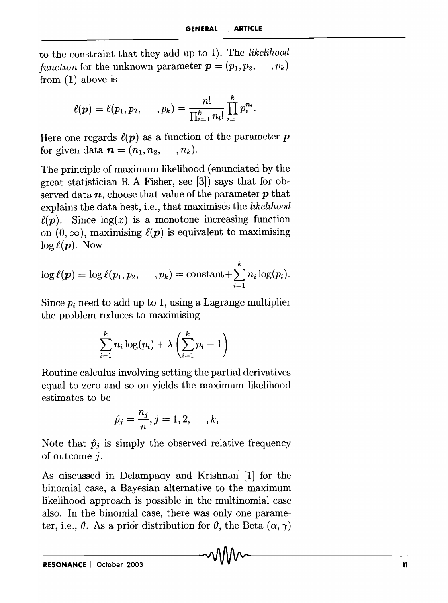to the constraint that they add up to 1). The *likelihood function* for the unknown parameter  $\mathbf{p} = (p_1, p_2, \dots, p_k)$ from (1) above is

$$
\ell(\bm{p}) = \ell(p_1, p_2, \quad p_k) = \frac{n!}{\prod_{i=1}^k n_i!} \prod_{i=1}^k p_i^{n_i}.
$$

Here one regards  $\ell(p)$  as a function of the parameter p for given data  $\boldsymbol{n} = (n_1, n_2, ..., n_k).$ 

The principle of maximum likelihood (enunciated by the great statistician R A Fisher, see [3]) says that for observed data  $n$ , choose that value of the parameter  $p$  that explains the data best, i.e., that maximises the *likelihood*   $\ell(\boldsymbol{p})$ . Since  $\log(x)$  is a monotone increasing function on  $(0, \infty)$ , maximising  $\ell(p)$  is equivalent to maximising  $\log \ell(\boldsymbol{p})$ . Now

$$
\log \ell(\boldsymbol{p}) = \log \ell(p_1, p_2, \ldots, p_k) = \text{constant} + \sum_{i=1}^k n_i \log(p_i).
$$

Since *Pi* need to add up to 1, using a Lagrange multiplier the problem reduces to maximising

$$
\sum_{i=1}^{k} n_i \log(p_i) + \lambda \left(\sum_{i=1}^{k} p_i - 1\right)
$$

Routine calculus involving setting the partial derivatives equal to zero and so on yields the maximum likelihood estimates to be

$$
\hat{p_j}=\frac{n_j}{n}, j=1,2,\quad \ ,k,
$$

Note that  $\hat{p}_j$  is simply the observed relative frequency of outcome j.

As discussed in Delampady and Krishnan [1] for the binomial case, a Bayesian alternative to the maximum likelihood approach is possible in the multinomial case also. In the binomial case, there was only one parameter, i.e.,  $\theta$ . As a prior distribution for  $\theta$ , the Beta  $(\alpha, \gamma)$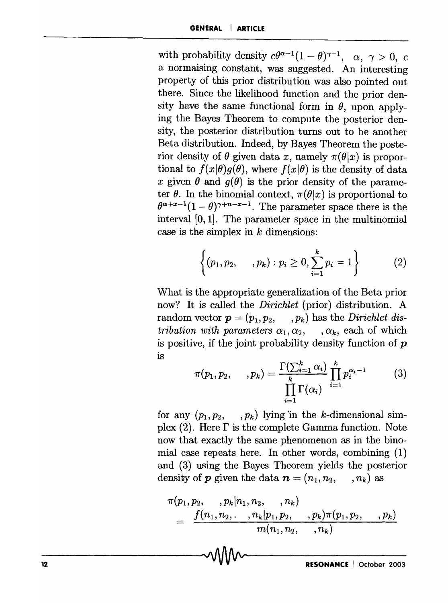with probability density  $c\theta^{\alpha-1}(1-\theta)^{\gamma-1}$ ,  $\alpha, \gamma > 0$ , c a normaising constant, was suggested. An interesting property of this prior distribution was also pointed out there. Since the likelihood function and the prior density have the same functional form in  $\theta$ , upon applying the Bayes Theorem to compute the posterior density, the posterior distribution turns out to be another Beta distribution. Indeed, by Bayes Theorem the posterior density of  $\theta$  given data *x*, namely  $\pi(\theta|x)$  is proportional to  $f(x|\theta)q(\theta)$ , where  $f(x|\theta)$  is the density of data x given  $\theta$  and  $q(\theta)$  is the prior density of the parameter  $\theta$ . In the binomial context,  $\pi(\theta|x)$  is proportional to  $\theta^{\alpha+x-1}(1-\theta)^{\gamma+n-x-1}$ . The parameter space there is the interval [0, I]. The parameter space in the multinomial case is the simplex in *k* dimensions:

$$
\left\{ (p_1, p_2, \dots, p_k) : p_i \ge 0, \sum_{i=1}^k p_i = 1 \right\} \tag{2}
$$

What is the appropriate generalization of the Beta prior now? It is called the *Dirichlet* (prior) distribution. A random vector  $p = (p_1, p_2, \dots, p_k)$  has the *Dirichlet distribution with parameters*  $\alpha_1, \alpha_2, \ldots, \alpha_k$ , each of which is positive, if the joint probability density function of  $p$ IS

$$
\pi(p_1, p_2, \dots, p_k) = \frac{\Gamma(\sum_{i=1}^k \alpha_i)}{\prod_{i=1}^k \Gamma(\alpha_i)} \prod_{i=1}^k p_i^{\alpha_i - 1} \tag{3}
$$

for any  $(p_1, p_2, \ldots, p_k)$  lying in the k-dimensional simplex (2). Here  $\Gamma$  is the complete Gamma function. Note now that exactly the same phenomenon as in the binomial case repeats here. In other words, combining (I) and (3) using the Bayes Theorem yields the posterior density of p given the data  $\boldsymbol{n} = (n_1, n_2, ..., n_k)$  as

$$
\pi(p_1, p_2, \ldots, p_k | n_1, n_2, \ldots, n_k) = \frac{f(n_1, n_2, \ldots, n_k | p_1, p_2, \ldots, p_k) \pi(p_1, p_2, \ldots, p_k)}{m(n_1, n_2, \ldots, n_k)}
$$
\nPRONANCE | October 2003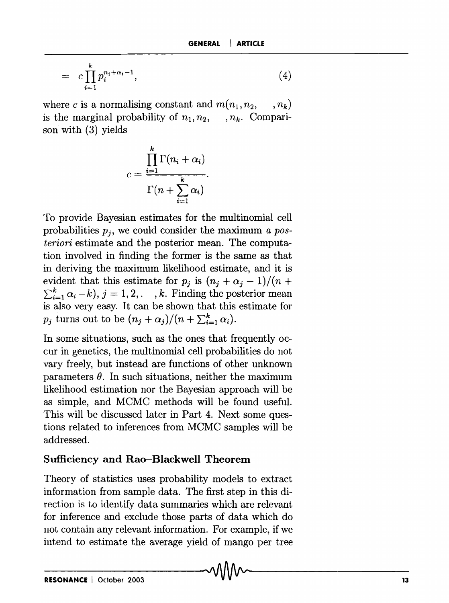$$
= c \prod_{i=1}^{k} p_i^{n_i + \alpha_i - 1}, \tag{4}
$$

where c is a normalising constant and  $m(n_1, n_2, ..., n_k)$ is the marginal probability of  $n_1, n_2, \ldots, n_k$ . Comparison with (3) yields

$$
c = \frac{\prod_{i=1}^{k} \Gamma(n_i + \alpha_i)}{\Gamma(n + \sum_{i=1}^{k} \alpha_i)}.
$$

To provide Bayesian estimates for the multinomial cell probabilities  $p_i$ , we could consider the maximum *a posteriori* estimate and the posterior mean. The computation involved in finding the former is the same as that in deriving the maximum likelihood estimate, and it is evident that this estimate for  $p_i$  is  $(n_i + \alpha_i - 1)/(n +$  $\sum_{i=1}^{k} \alpha_i - k$ ,  $j = 1, 2, \dots, k$ . Finding the posterior mean is also very easy. It can be shown that this estimate for  $p_i$  turns out to be  $(n_i + \alpha_i)/(n + \sum_{i=1}^k \alpha_i)$ .

In some situations, such as the ones that frequently occur in genetics, the multinomial cell probabilities do not vary freely, but instead are functions of other unknown parameters  $\theta$ . In such situations, neither the maximum likelihood estimation nor the Bayesian approach will be as simple, and MCMC methods will be found useful. This will be discussed later in Part 4. Next some questions related to inferences from MCMC samples will be addressed.

#### Sufficiency and Rao-Blackwell Theorem

Theory of statistics uses probability models to extract information from sample data. The first step in this direction is to identify data summaries which are relevant for inference and exclude those parts of data which do not contain any relevant information. For example, if we intend to estimate the average yield of mango per tree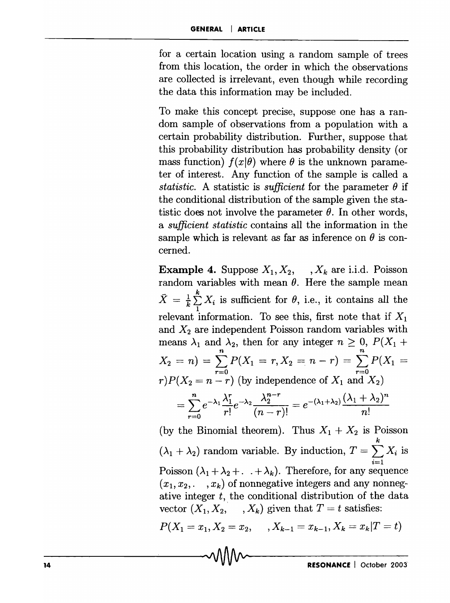for a certain location using a random sample of trees from this location, the order in which the observations are collected is irrelevant, even though while recording the data this information may be included.

To make this concept precise, suppose one has a random sample of observations from a population with a certain probability distribution. Further, suppose that this probability distribution has probability density (or mass function)  $f(x|\theta)$  where  $\theta$  is the unknown parameter of interest. Any function of the sample is called a *statistic.* A statistic is *sufficient* for the parameter  $\theta$  if the conditional distribution of the sample given the statistic does not involve the parameter  $\theta$ . In other words, a *sufficient statistic* contains all the information in the sample which is relevant as far as inference on  $\theta$  is concerned.

Example 4. Suppose  $X_1, X_2, \dots, X_k$  are i.i.d. Poisson random variables with mean  $\theta$ . Here the sample mean  $\bar{X} = \frac{1}{k} \sum_{i=1}^{k} X_i$  is sufficient for  $\theta$ , i.e., it contains all the relevant information. To see this, first note that if  $X_1$ and  $X_2$  are independent Poisson random variables with means  $\lambda_1$  and  $\lambda_2$ , then for any integer  $n \geq 0$ ,  $P(X_1 +$  $X_2 = n$ ) =  $\sum P(X_1 = r, X_2 = n - r) = \sum P(X_1)$  $r=0$   $r=0$  $r)P(X_2 = n - r)$  (by independence of  $X_1$  and  $X_2$ )  $=\sum_{n=0}^{\infty}e^{-\lambda_1}\frac{\lambda_1^r}{2}e^{-\lambda_2}\frac{\lambda_2^{n-r}}{r} = e^{-(\lambda_1+\lambda_2)}\frac{(\lambda_1+\lambda_2)^n}{r}$  $\sum_{r=0}^{\infty}$  *r!*  $(n-r)!$  *n!* 

(by the Binomial theorem). Thus  $X_1 + X_2$  is Poisson  $(\lambda_1 + \lambda_2)$  random variable. By induction,  $T = \sum_{i=1}^{k} X_i$  is  $\sum_{i=1}$ Poisson  $(\lambda_1 + \lambda_2 + \ldots + \lambda_k)$ . Therefore, for any sequence  $(x_1, x_2, \ldots, x_k)$  of nonnegative integers and any nonnegative integer *t,* the conditional distribution of the data vector  $(X_1, X_2, \dots, X_k)$  given that  $T = t$  satisfies:

 $P(X_1 = x_1, X_2 = x_2, \dots, X_{k-1} = x_{k-1}, X_k = x_k | T = t)$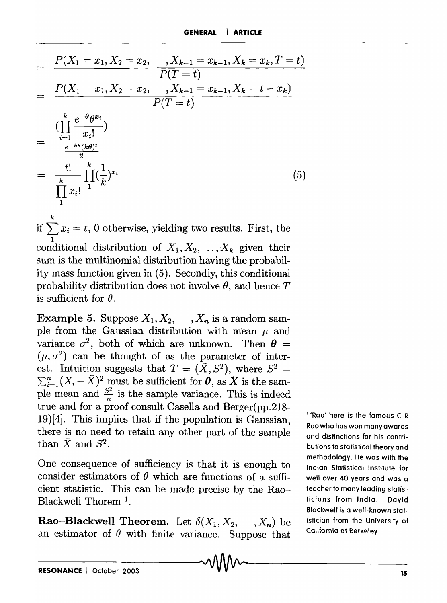$$
= \frac{P(X_1 = x_1, X_2 = x_2, \dots, X_{k-1} = x_{k-1}, X_k = x_k, T = t)}{P(T = t)}
$$
  
\n
$$
= \frac{P(X_1 = x_1, X_2 = x_2, \dots, X_{k-1} = x_{k-1}, X_k = t - x_k)}{P(T = t)}
$$
  
\n
$$
= \frac{\prod_{i=1}^k \frac{e^{-\theta} \theta^{x_i}}{x_i!}}{\prod_{i=1}^k \frac{e^{-k\theta} (k\theta)^t}{t!}}
$$
  
\n
$$
= \frac{t!}{\prod_{i=1}^k \prod_{i=1}^k (t_i^t)^{x_i}}
$$
  
\n(5)

if  $\sum_{i=1}^{k} x_i = t$ , 0 otherwise, yielding two results. First, the 1 conditional distribution of  $X_1, X_2, \ldots, X_k$  given their sum is the multinomial distribution having the probability mass function given in (5). Secondly, this conditional probability distribution does not involve  $\theta$ , and hence  $T$ is sufficient for  $\theta$ .

Example 5. Suppose  $X_1, X_2, \dots, X_n$  is a random sample from the Gaussian distribution with mean  $\mu$  and variance  $\sigma^2$ , both of which are unknown. Then  $\theta =$  $(\mu, \sigma^2)$  can be thought of as the parameter of interest. Intuition suggests that  $T = (\bar{X}, S^2)$ , where  $S^2 =$  $\sum_{i=1}^{n} (X_i - \bar{X})^2$  must be sufficient for  $\boldsymbol{\theta}$ , as  $\bar{X}$  is the sample mean and  $\frac{S^2}{n}$  is the sample variance. This is indeed true and for a proof consult Casella and Berger(pp.218- 19)[4]. This implies that if the population is Gaussian, there is no need to retain any other part of the sample than  $\bar{X}$  and  $S^2$ .

One consequence of sufficiency is that it is enough to consider estimators of  $\theta$  which are functions of a sufficient statistic. This can be made precise by the Rao-Blackwell Thorem 1.

Rao-Blackwell Theorem. Let  $\delta(X_1, X_2, \ldots, X_n)$  be an estimator of  $\theta$  with finite variance. Suppose that

<sup>1</sup>'Roo' here is the famous C R Roo who has won many awards and distinctions for his contributions to statistical theory and methodology. He was with the Indian Statistical Institute for well over 40 years and was a teacher to many leading statisticians from India. David Blackwell is a well-known statistician from the University of California at Berkeley.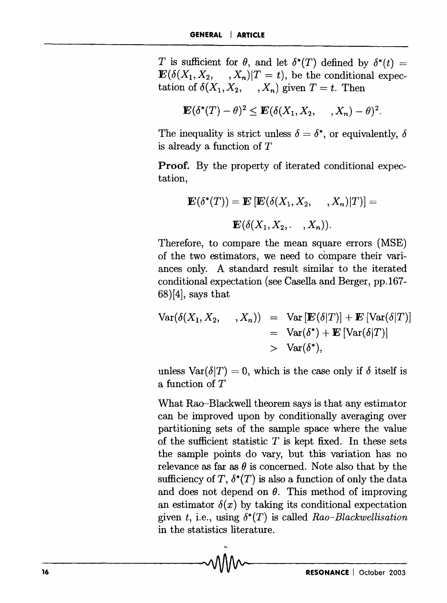T is sufficient for  $\theta$ , and let  $\delta^*(T)$  defined by  $\delta^*(t)$  =  $\mathbf{E}(\delta(X_1, X_2, \dots, X_n)|T = t)$ , be the conditional expectation of  $\delta(X_1, X_2, \dots, X_n)$  given  $T = t$ . Then

$$
\mathbf{E}(\delta^*(T)-\theta)^2 \leq \mathbf{E}(\delta(X_1,X_2,\ldots,X_n)-\theta)^2.
$$

The inequality is strict unless  $\delta = \delta^*$ , or equivalently,  $\delta$ is already a function of *T* 

**Proof.** By the property of iterated conditional expectation,

$$
\mathbf{E}(\delta^*(T)) = \mathbf{E} [\mathbf{E}(\delta(X_1, X_2, \dots, X_n)|T)] =
$$

$$
\mathbf{E}(\delta(X_1, X_2, \dots, X_n)).
$$

Therefore, to compare the mean square errors (MSE) of the two estimators, we need to compare their variances only. A standard result similar to the iterated conditional expectation (see Casella and Berger, pp.167-  $68$ <sup>[4]</sup>, says that

$$
\operatorname{Var}(\delta(X_1, X_2, \dots, X_n)) = \operatorname{Var} [\mathbf{E}(\delta | T)] + \mathbf{E} [\operatorname{Var}(\delta | T)]
$$
  
= 
$$
\operatorname{Var}(\delta^*) + \mathbf{E} [\operatorname{Var}(\delta | T)]
$$
  
> 
$$
\operatorname{Var}(\delta^*),
$$

unless  $\text{Var}(\delta|T) = 0$ , which is the case only if  $\delta$  itself is a function of T

What Rao-Blackwell theorem says is that any estimator can be improved upon by conditionally averaging over partitioning sets of the sample space where the value of the sufficient statistic *T* is kept fixed. In these sets the sample points do vary, but this variation has no relevance as far as  $\theta$  is concerned. Note also that by the sufficiency of T,  $\delta^*(T)$  is also a function of only the data and does not depend on  $\theta$ . This method of improving an estimator  $\delta(x)$  by taking its conditional expectation given *t*, i.e., using  $\delta^{*}(T)$  is called *Rao-Blackwellisation* in the statistics literature.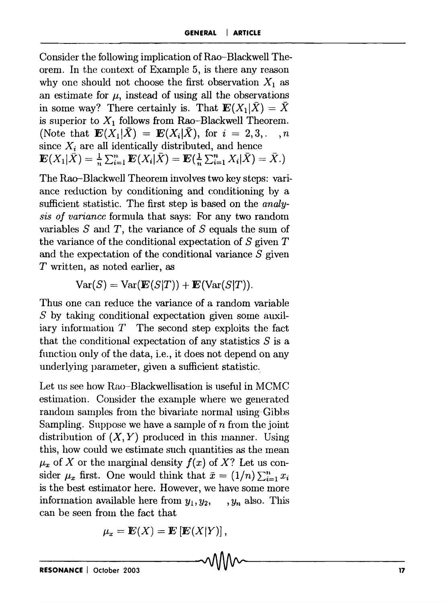Consider the following implication of R<sub>ao</sub>-Blackwell Theorem. In the context of Example 5, is there any reason why one should not choose the first observation  $X_1$  as an estimate for  $\mu$ , instead of using all the observations in some way? There certainly is. That  $\mathbf{E}(X_1|\bar{X}) = \bar{X}$ is superior to  $X_1$  follows from Rao-Blackwell Theorem. (Note that  $\mathbf{E}(X_1|\bar{X}) = \mathbf{E}(X_i|\bar{X})$ , for  $i = 2,3, \ldots, n$ since  $X_i$  are all identically distributed, and hence  $\mathbf{E}(X_1|\bar{X}) = \frac{1}{n} \sum_{i=1}^n \mathbf{E}(X_i|\bar{X}) = \mathbf{E}(\frac{1}{n} \sum_{i=1}^n X_i|\bar{X}) = \bar{X}.$ 

The Rao-Blackwell Theorem involves two key steps: variance reduction by conditioning and eonditioning by a sufficient statistic. The first step is based on the *analysis of variance* formula that says: For any two random variables  $S$  and  $T$ , the variance of  $S$  equals the sum of the variance of the conditional expectation of *S* given *T*  and the expectation of the conditional variance *S* given T written, as noted earlier, as

$$
Var(S) = Var(\mathbf{E}(S|T)) + \mathbf{E}(Var(S|T)).
$$

Thus one can reduce the variance of a random variable *S* by taking conditional expectation given some auxiliary information  $T$  The second step exploits the fact that the conditional expectation of any statistics *S* is a function only of the data, i.e., it does not depend on any underlying parameter, given a sufficient statistic.

Let us see how Rao-Blackwellisation is useful in MCMC estimation. Consider the example where we generated random samples from the bivariate normal using Gibbs Sampling. Suppose we have a sample of *n* from the joint distribution of  $(X, Y)$  produced in this manner. Using this, how could we estimate such quantities as the mean  $\mu_x$  of *X* or the inarginal density  $f(x)$  of *X*? Let us consider  $\mu_x$  first. One would think that  $\bar{x} = (1/n) \sum_{i=1}^n x_i$ is the best estimator here. However, we have some more information available here from  $y_1, y_2, \dots, y_n$  also. This can be seen from the fact that

$$
\mu_x = \mathbf{E}(X) = \mathbf{E} [\mathbf{E}(X|Y)],
$$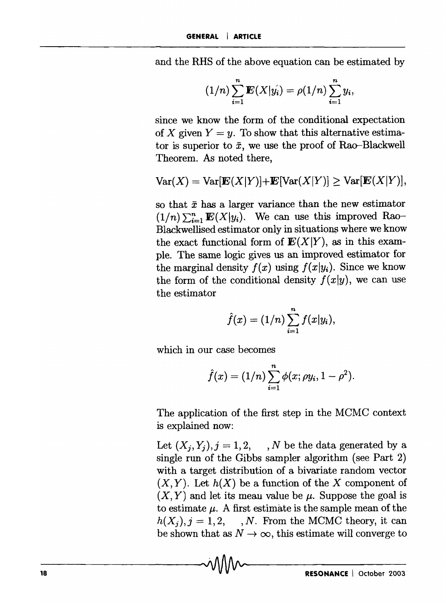and the RHS of the above equation can be estimated by

$$
(1/n)\sum_{i=1}^n \mathbf{E}(X|y_i) = \rho(1/n)\sum_{i=1}^n y_i,
$$

since we know the form of the conditional expectation of X given  $Y = y$ . To show that this alternative estimator is superior to  $\bar{x}$ , we use the proof of Rao-Blackwell Theorem. As noted there,

$$
\text{Var}(X) = \text{Var}[\mathbf{E}(X|Y)] + \mathbf{E}[\text{Var}(X|Y)] \geq \text{Var}[\mathbf{E}(X|Y)],
$$

so that  $\bar{x}$  has a larger variance than the new estimator  $(1/n) \sum_{i=1}^n \mathbf{E}(X|y_i)$ . We can use this improved Rao-Blackwellised estimator only in situations where we know the exact functional form of  $E(X|Y)$ , as in this example. The same logic gives us an improved estimator for the marginal density  $f(x)$  using  $f(x|y_i)$ . Since we know the form of the conditional density  $f(x|y)$ , we can use the estimator

$$
\hat{f}(x) = (1/n) \sum_{i=1}^{n} f(x|y_i),
$$

which in our case becomes

$$
\hat{f}(x) = (1/n) \sum_{i=1}^{n} \phi(x; \rho y_i, 1 - \rho^2).
$$

The application of the first step in the MCMC context is explained now:

Let  $(X_j, Y_j), j = 1, 2, \dots, N$  be the data generated by a single run of the Gibbs sampler algorithm (see Part 2) with a target distribution of a bivariate random vector  $(X, Y)$ . Let  $h(X)$  be a function of the X component of  $(X, Y)$  and let its mean value be  $\mu$ . Suppose the goal is to estimate  $\mu$ . A first estimate is the sample mean of the  $h(X_i), j = 1,2, \dots, N$ . From the MCMC theory, it can be shown that as  $N \to \infty$ , this estimate will converge to